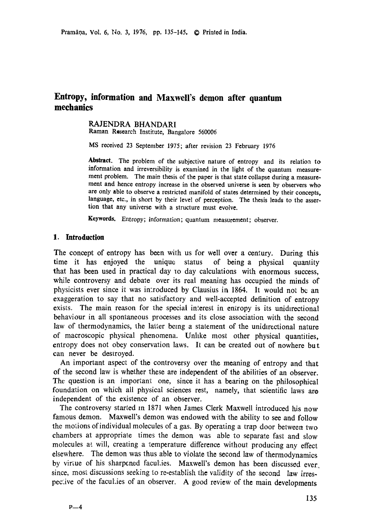# **Entropy, information and Maxwell's demon after quantum mechanics**

# RAJENDRA BHANDARI

Raman Research Institute, Bangalore 560006

MS received 23 September 1975; after revision 23 February 1976

Abstract. The problem of the subjective nature of entropy and its relation to information and irreversibility is examined in the light of the quantum measurement problem. The main thesis of the paper is that state collapse during a measurement and hence entropy increase in the observed universe is seen by observers who are only able to observe a restricted manifold of states determined by their concepts, language, etc., in short by their level of perception. The thesis leads to the assertion that any universe with a structure must evolve.

Keywords. Entropy; information; quantum measurement; observer.

#### **1. Introduction**

The concept of entropy has been with us for well over a century. During this time it has enjoyed the unique status of being a physical quanlity that has been used in practical day to day calculations with enormous success, while controversy and debate over its real meaning has occupied the minds of physicists ever since it was imroduced by Clausius in 1864. It would not bc an exaggeration to say that no satisfactory and well-accepted definition of entropy exists. The main reason for the special interest in entropy is its unidirectional behaviour in all spontaneous processes and its close association with the second law of thermodynamics, the latter being a statement of the unidirectional nature of macroscopic physical phenomena. Unhke most other physical quantities, entropy does not obey conservation laws. It can be created out of nowhere but can never be destroyed.

An important aspect of the controversy over the meaning of entropy and that of the second law is whether these are independent of the abilities of an observer. The question is an important one, since it has a bearing on the philosophical foundation on which all physical sciences rest, namely, that scientific laws are independent of the existence of an observer.

The controversy started in 1871 when James Clerk Maxwell introduced his now famous demon. Maxwell's demon was endowed with the ability to see and follow the motions of individual molecules of a gas. By operating a trap door between two chambers at appropriate times the demon was able to separate fast and slow molecules at will, creating a temperature difference without producing any effect elsewhere. The demon was thus able to violate the second law of thermodynamics by virtue of his sharpened faculties. Maxwell's demon has been discussed ever. since, most discussions seeking to re-establish the validity of the second law irrespective of the faculties of an observer. A good review of the main developments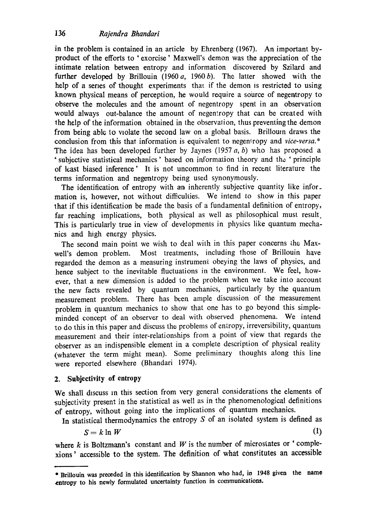in the problem is contained in an article by Ehrenberg (1967). An important byproduct of the efforts to ' exorcise' Maxwell's demon was the appreciation of the intimate relation between entropy and information discovered by Szilard and further developed by Brillouin (1960  $a$ , 1960  $b$ ). The latter showed with the help of a series of thought experiments that if the demon is restricted to using known physical means of perception, he would require a source of negentropy to observe the molecules and the amount of negentropy spent in an observation would always out-balance the amount of negentropy that can be created with **the** help of the information obtained in the observation, thus preventing the demon from being able to violate the second law on a global basis. Brilloum draws the conclusion from this that information is equivalent to negentropy and *vice-versa*.\* The idea has been developed further by Jaynes (1957  $a$ ,  $b$ ) who has proposed a "subjective statistical mechanics' based on information theory and the ' principle of least biased inference' It is not uncommon to find in recent literature the terms information and negentropy being used synonymously.

The identification of entropy with an inherently subjective quantity like information is, however, not without difficulties. We intend to show in this paper that if this identification be made the basis of a fundamental definition of entropy, far reaching implications, both physical as well as philosophical must result. This is particularly true in view of developments in physics like quantum mechanics and high energy physics.

The second main point we wish to deal with in this paper concerns the Maxwell's demon problem. Most treatments, including those of Brillouin have regarded the demon as a measuring instrument obeying the laws of physics, and hence subject to the inevitable fluctuations in the environment. We feel, however, that a new dimension is added to the problem when we take into account the new facts revealed by quantum mechanics, particularly by the quantum measurement problem. There has been ample discussion of the measurement problem in quantum mechanics to show that one has to go beyond this simpleminded concept of an observer to deal with observed phenomena. We intend to do this in this paper and discuss the problems of entropy, irreversibility, quantum measurement and their inter-relationships from a point of view that regards the observer as an indispensible element in a complete description of physical reality (whatever the term might mean). Some preliminary thoughts along this line were reported elsewhere (Bhandari 1974).

# **2. Subjectivity of entropy**

We shall discuss m this section from very general considerations the elements of subjectivity present in the statistical as well as in the phenomenological definitions of entropy, without going into the implications of quantum mechanics.

In statistical thermodynamics the entropy  $S$  of an isolated system is defined as

$$
S = k \ln W \tag{1}
$$

where  $k$  is Boltzmann's constant and  $W$  is the number of microstates or 'complexions' accessible to the system. The definition of what constitutes an accessible

<sup>\*</sup> Brillouin was preceded in this identification by Shannon who had, in 1948 given the name **entropy to** his newly formulated uncertainty function in comrnunicatiom.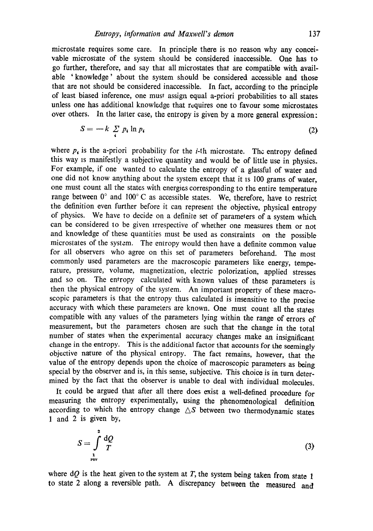microstate requires some care. In principle there is no reason why any conceivable microstate of the system should be considered inaccessible. One has to go further, therefore, and say that all microstates that are compatible with available 'knowledge' about the system should be considered accessible and those that are not should be considered inaccessible. In fact, according to the principle of least biased inference, one must assign equal a-priori probabilities to all states unless one has additional knowledge that requires one to favour some microstates over others. In the latter case, the entropy is given by a more general expression:

$$
S = -k \sum_{i} p_i \ln p_i \tag{2}
$$

where  $p_i$  is the a-priori probability for the *i*-th microstate. The entropy defined this way is manifestly a subjective quantity and would be of little use in physics. For example, if one wanted to calculate the entropy of a glassful of water and one did not know anything about 1he system except that it is 100 grams of water, one must count all the states with energies corresponding to the entire temperature range between  $0^{\circ}$  and  $100^{\circ}$  C as accessible states. We, therefore, have to restrict the definition even further before it can represent the objective, physical entropy of physics. We have to decide on a definite set of parameters of a system which can be considered to be given Irrespective of whether one measures them or not and knowledge of these quantities must be used as constraints on the possible microstates of the system. The entropy would then have a definite common value for all observers who agree on this set of parameters beforehand. The most commonly used parameters are the macroscopic paramelers like energy, temperature, pressure, volume, magnetization, electric polorization, applied stresses and so on. The entropy calculated with known values of these parameters is then the physical entropy of the syslem. An important property of these macroscopic parameters is that the entropy thus calculated is insensitive to the precise accuracy with which these parameters are known. One must count all the states compatible with any values of the parameters lying within the range of errors of measurement, but the parameters chosen are such that the change in the total number of states when the experimental accuracy changes make an insignificant change in the entropy. This is the additional factor that accounts for the seemingly objective nature of the physical entropy. The fact remains, however, that the value of the entropy depends upon the choice of macroscopic parameters as being special by the observer and is, in this sense, subjective. This choice is in turn determined by the fact that the observer is unable to deal with individual molecules.

It could be argued that after all there does exist a well-defined procedure for measuring the entropy experimentally, using the phenomenological definition according to which the entropy change  $\triangle S$  between two thermodynamic states 1 and 2 is given by,

$$
S = \int_{\frac{1}{\text{rev}}}^{\frac{2}{\text{rev}}} \frac{dQ}{T} \tag{3}
$$

where  $dQ$  is the heat given to the system at T, the system being taken from state 1 to state 2 along a reversible path. A discrepancy between the measured and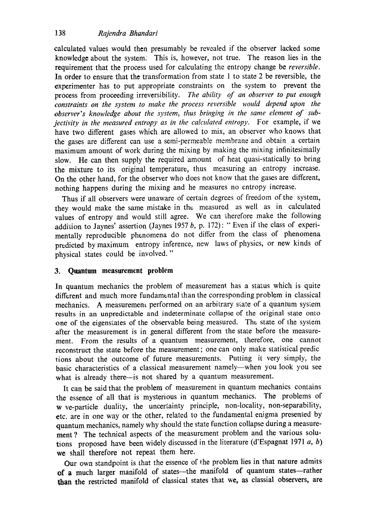calculated values would then presumably be revealed if the observer lacked some knowledge about the system; This is, however, not true. The reason lies in the requirement that the process used for calculating the entropy change be *reversible.*  In order to ensure that the transformation from state 1 to state 2 be reversible, the experimenter has to put appropriate constraints on the system to prevent the process from proceeding irreversibility. *The ability of an observer to put enough*  constraints on the system to make the process reversible would depend upon the observer's knowledge about the system, thus bringing in the same element of sub*jectivity in the measured entropy as in the calculated entropy.* For example, if we have two different gases which are allowed to mix, an observer who knows that the gases are different can use a semi-permeable membrane and obtain a certain maximum amount of work during the mixing by making the mixing infinitesimally slow. He can then supply the required amount of heat quasi-statically to bring the mixture to its original temperature, thus measuring an entropy increase. On the other hard, for the observer who does not know that the gases are different, nothing happens during the mixing and he measures no entropy increase.

Thus if all observers were unaware of certain degrees of freedom of the system, they would make the same mistake in the measured as well as in calculated values of entropy and would still agree. We can therefore make the following addition to Jaynes' assertion (Jaynes 1957  $b$ , p. 172): " Even if the class of experimentally reproducible phenomena do not differ from the class of phenomena predicted by maximum entropy inference, new laws of physics, or new kinds of physical states could be involved. "

# **3. Quantum measurement problem**

In quantum mechanics the problem of measurement has a status which is quite different and much more fundamental than the corresponding problem in classical mechanics. A measurement performed on an arbitrary state of a quantum system results in an unpredictable and indeterminate collapse of the original state onto one of the eigenstales of the observable being measured. The state of the system after the measurement is in general different from the state before the measurement. From the results of a quantum measurement, therefore, one cannot reconstruct the state before the measurement ; one can only make statistical predic tions about the outcome of future measurements. Putting it very simply, the basic characteristics of a classical measurement namely-when you look you see what is already there--is not shared by a quantum measurement.

It can be said that the problem of measurement in quantum mechanics contains the essence of all that is mysterious in quantum mechanics. The problems of w ve-particle duality, the uncertainty principle, non-locality, non-separability, etc. are in one way or the other, related to the fundamental enigma presented by quantum mechanics, namely why should the state function collapse during a measurement ? The technical aspects of the measurement problem and the various solutions proposed have been widely discussed in the literature (d'Espagnat 1971  $a, b$ ) we shall therefore not repeat them here.

Our own standpoint is that the essence of the problem lies in that nature admits of a much larger manifold of states--the manifold of quantum states--rather than the restricted manifold of classical states that we, as classial observers, are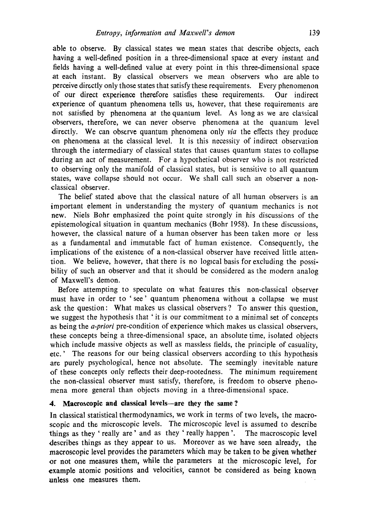able to observe. By classical states we mean states that describe objects, each having a well-defined position in a three-dimensional space at every instant and fields having a well-defined value at every point in this three-dimensional space at each instant. By classical observers we mean observers who are able to perceive directly only those states that satisfy these requirements. Every phenomenon of our direct experience therefore satisfies these requirements. Our indirect experience of quantum phenomena tells us, however, that these requirements are not satisfied by phenomena at the quantum level. As long as we are classical observers, therefore, we can never observe phenomena at the quantum level directly. We can observe quantum phenomena only *via* the effects they produce on phenomena at the classical level. It is this necessity of indirect observation through the intermediary of classical states that causes quantum states to collapse during an act of measurement. For a hypothetical observer who is not restricted **to** observing only the manifold of classical states, but is sensitive to all quantum states, wave collapse should not occur. We shall call such an observer a nonclassical observer.

The belief stated above that the classical nature of all human observers is an important element in understanding the mystery of quantum mechanics is **not**  new. Niels Bohr emphasized the point quite strongly in his discussions of the epistemological situation in quantum mechanics (Bohr 1958). In these discussions, however, the classical nature of a human observer has been taken more or less as a fundamental and immutable fact of human existence. Consequently, the implications of the existence of a non-classical observer have received little attention. We believe, however, that there is no logical basis for excluding the possibility of such an observer and that it should be considered as the modern analog of Maxwell's demon.

Before attempting to speculate on what features this non-classical observer must have in order to 'see' quantum phenomena without a collapse we must ask the question: What makes us classical observers ? To answer this question, we suggest the hypothesis that ' it is our commitment to a minimal set of concepts as being the *a-priori* pre-condition of experience which makes us classical observers, these concepts being a three-dimensional space, an absolute time, isolated objects which include massive objects as well as massless fields, the principle of casuality, etc.' The reasons for our being classical observers according to this hypothesis are purely psychological, hence not absolute. The seemingly inevitable nature of these concepts only reflects their deep-rootedness. The minimum requirement the non-classical observer must satisfy, therefore, is freedom to observe phenomena more general than objects moving in a three-dimensional space.

### **4. Macroscopic and classical levels--are they the same ?**

In classical statistical thermodynamics, we work in terms of two levels, the macroscopic and the microscopic levels. The microscopic level is assumed to describe things as they ' really are' and as they ' really happen'. The macroscopic level describes things as they appear to us. Moreover as we have seen already, the **macroscopic level provides the** parameters which may be taken to be given whether or **not one** measures them, while the parameters at the microscopic level, for **example atomic positions and** velocities, cannot be **considered as being known unless one measures them.**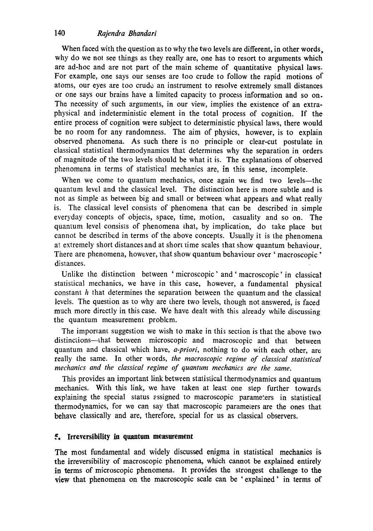# 140 *Rajendra Bhandari*

When faced with the question as to why the two levels are different, in other words, why do we not see things as they really are, one has to resort to arguments which are ad-hoc and are not part of the main scheme of quantitative physical laws. For example, one says our senses are too crude to follow the rapid motions of atoms, our eyes are too crude an instrument to resolve extremely small distances or one says our brains have a limited capacity to process information and so on. The necessity of such arguments, in our view, implies the existence of an extraphysical and indeterministic element in the total process of cognition. If the entire process of cognition were subject to deterministic physical laws, there would be no room for any randomness. The aim of physics, however, is to explain observed phenomena. As such there is no principle or clear-cut postulate in classical statistical thermodynamics that determines why the separation in orders of magnitude of the two levels should be what it is. The explanations of observed phenomena in terms of statistical mechanics are, in this sense, incomplete.

When we come to quantum mechanics, once again we find two levels—the quantum level and the classical level. The distinction here is more subtle and is not as gimple as between big and small or between what appears and what really is. The classical level consists of phenomena that can be described in simple everyday concepts of objects, space, time, motion, casuality and so on. The quantum level consists of phenomena that, by implication, do take place but cannot be described in terms of the above concepts. Usually it is the phenomena at extremely short distances and at short time scales that show quantum behaviour. There are phenomena, however, that show quantum behaviour over 'macroscopic' distances.

Unlike the distinction between 'microscopic'and'macroscopic'in classical statistical mechanics, we have in this case, however, a fundamental physical constant h that determines the separation between the quantum and the classical levels. The question as to why are there two levels, though not answered, is faced much more directly in this case. We have dealt with this already while discussing the quantum measurement problem.

The important suggestion we wish to make in this section is that the above two distinctions---that between microscopic and macroscopic and that between quantum and classical which have, *a-priori,* nothing to do with each other, are really the same. In other words, *the macroscopic regime of classical statistical mechanics and the classical regime of quantum mechanics are the same.* 

This provides an important link between statistical thermodynamics and quantum mechanics. With this link, we have taken at least one step further towards explaining the special status assigned to macroscopic parameters in statistieat thermodynamics, for we can say that macroscopic parameters are the ones that behave classically and are, therefore, special for us as classical observers.

# **~. Irreversibility in quantum measurement**

The most fundamental and widely discussed enigma in statistical mechanics is the irreversibility of macroscopic phenomena, which cannot be explained entirely **in** terms of microscopic phenomena. It provides the strongest challenge to the view that phenomena on the macroscopic scale can be 'explained' in terms of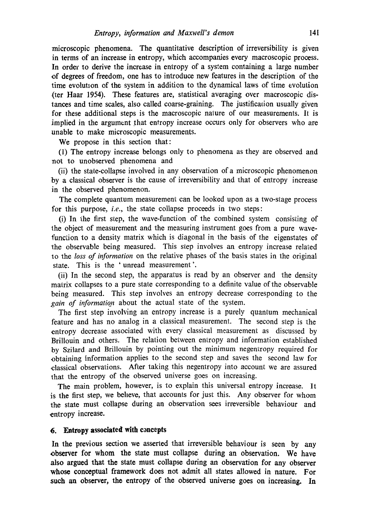microscopic phenomena. The quantitative description of irreversibility is given in terms of an increase in entropy, which accompanies every macroscopic process. In order to derive the increase in entropy of a system containing a large number of degrees of freedom, one has to introduce new features in the description of the time evolution of the system in addition to the dynamical laws of time evolution (ter Haar 1954). These features are, statistical averaging over macroscopic distances and time scales, also called coarse-graining. The justification usually given for these additional steps is the macroscopic nature of our measurements. It is implied in the argument that entropy increase occurs only for observers who are unable to make microscopic measurements.

We propose in this section that:

(1) The entropy increase belongs only to phenomena as they are observed and not to unobserved phenomena and

(ii) the state-collapse involved in any observation of a microscopic phenomenon by a classical observer is the cause of irreversibility and that of entropy increase in the observed phenomenon.

The complete quantum measurement can be looked upon as a two-stage process for this purpose, *i.e.*, the state collapse proceeds in two steps:

(i) In the first step, the wave-function of the combined system consisting of lhe object of measurement and the measuring instrument goes from a pure wavefunction to a density matrix which is diagonal in the basis of the eigenstates of the observable being measured. This step involves an entropy increase related to the *loss of information* on the relative phases of the basis states in the original state. This is the 'unread measurement'.

(ii) In the second step, the apparatus is read by an observer and the density matrix collapses to a pure state corresponding to a definite value of the observable being measured. This step involves an entropy decrease corresponding to the gain of information about the actual state of the system.

The first step involving an entropy increase is a purely quantum mechanical feature and has no analog in a classical measurement. The second step is the entropy decrease associated with every classical measurement as discussed by Brillouin and others. The relation between entropy and information established by Szilard and Brillouin by pointing out the minimum negentropy required for obtaining information applies to the second step and saves the second law for classical observations. After taking this negentropy into account we are assured that the entropy of the observed universe goes on increasing.

The main problem, however, is to explain this universal entropy increase. It is the first step, we believe, that accounts for just this. Any observer for whom the state must collapse during an observation sees irreversible behaviour and entropy increase.

### **6. Entropy associated with concepts**

In the previous section we asserted that irreversible behaviour is seen by any observer for whom the state must collapse during an observation. We have also argued that the state must collapse during an observation for any observer whose conceptual framework does not admit all states allowed in nature. For such an observer, the entropy of the observed universe goes on increasing. In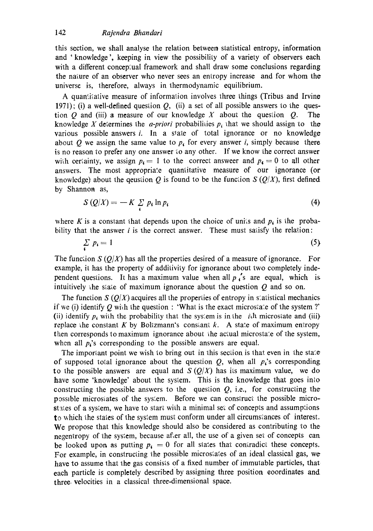### 142 *Rajendra Bhandari*

this section, we shall analyse the relation between statistical entropy, information and 'knowledge ', keeping in view the possibility of a variety of observers each with a different conceptual framework and shall draw some conclusions regarding the nature of an observer who never sees an entropy increase and for whom the universe is, therefore, always in thermodynamic equilibrium.

A quamiiative measure of information involves three things (Tribus and Irvine 1971); (i) a well-defined question  $Q$ , (ii) a set of all possible answers to the question O and (iii) a measure of our knowledge X about the question  $Q$ . The knowledge X determines the *a-priori* probabilities  $p_i$  that we should assign to the various possible answers i. In a state of total ignorance or no knowledge about Q we assign the same value to  $p<sub>i</sub>$  for every answer i, simply because there is no reason to prefer any one answer io any other. If we know the correct answer with certainty, we assign  $p_4 = 1$  to the correct answeer and  $p_4 = 0$  to all other answers. The most appropriate quantitative measure of our ignorance (or knowledge) about the qeustion Q is found to be the function  $S(Q/X)$ , first defined by Shannon as,

$$
S(Q/X) = -K \sum_{i} p_i \ln p_i \tag{4}
$$

where K is a constant that depends upon the choice of units and  $p_i$  is the probability that the answer  $i$  is the correct answer. These must satisfy the relation:

$$
\sum_{i} p_i = 1 \tag{5}
$$

The function *S* ( $Q/X$ ) has all the properties desired of a measure of ignorance. For example, it has the property of additivity for ignorance about two completely independent questions. It has a maximum value when all  $p \uparrow s$  are equal, which is intuitively the state of maximum ignorance about the question  $Q$  and so on.

The function *S* ( $Q/X$ ) acquires all the properties of entropy in statistical mechanics. if we (i) identify Q with the question : 'What is the exact microstate of the system?' (ii) identify  $p_i$  with the probability that the system is in the *i*th microstate and (iii) replace the constant K by Boltzmann's constant  $k$ . A state of maximum entropy then corresponds to maximum ignorance about the actual microstate of the system, when all  $p_i$ 's corresponding to the possible answers are equal.

The important point we wish to bring out in this section is that even in the state of supposed total ignorance about the question  $Q$ , when all  $p_i$ 's corresponding to the possible answers are equal and  $S(Q/X)$  has its maximum value, we do have some 'knowledge' about the system. This is the knowledge that goes into constructing the possible answers to the question  $Q$ , i.e., for constructing the possible microsiates of the sysiem. Before we can construct the possible microstates of a system, we have to start with a minimal set of concepts and assumptions to which the states of the system must conform under all circumstances of interest. We propose that this knowledge should also be considered as contributing to the negentropy of the system, because after all, the use of a given set of concepts can be looked upon as putting  $p_{\ell} = 0$  for all states that contradict these concepts. For example, in constructing the possible microstates of an ideal classical gas, we have to assume that the gas consists of a fixed number of immutable particles, that each particle is completely described by assigning three position coordinates and three, velocities in a classical three-dimensional space.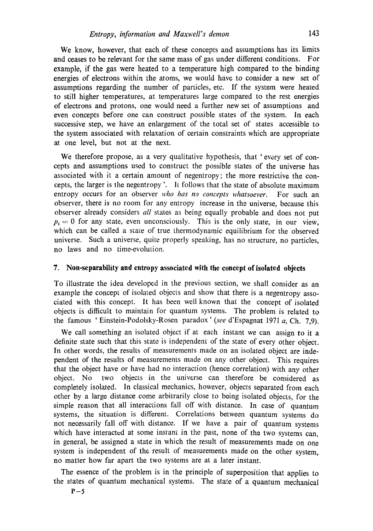We know, however, that each of these concepts and assumptions has its limits and ceases to be relevant for the same mass of gas under different conditions. For example, if the gas were heated to a temperature high compared to the binding energies of electrons within the atoms, we would have to consider a new set of assumptions regarding the number of particles, etc. If the system were heated to still higher temperatures, at temperatures large compared to the rest energies of electrons and protons, one would need a further new set of assumptions and even concepts before one can construct possible states of the system. In each successive step, we have an enlargement of the total set of states accessible to the system associated with relaxation of certain constraints which are appropriate at one level, but not at the next.

We therefore propose, as a very qualitative hypothesis, that 'every set of concepts and assumptions used to construct the possible states of the universe has associated with it a certain amount of negentropy; the more restrictive the concepts, the larger is the negentropy '. It follows that the state of absolute maximum entropy occurs for an observer *who has no concepts whatsoever.* For such an observer, there is no room for any entropy increase in the universe, because this observer already considers all states as being equally probable and does not put  $p_i=0$  for any state, even unconsciously. This is the only state, in our view, which can be called a state of true thermodynamic equilibrium for the observed universe. Such a universe, quite properly speaking, has no structure, no particles, no laws and no time-evolution.

#### **7. Non-separability and entropy associated with the concept of isolated objects**

To illustrate the idea developed in the previous section, we shall consider as an example the concept of isolated objects and show that there is a negentropy associated with this concept. It has been well known that the concept of isolated objects is difficult to maintain for quantum systems. The problem is related to the famous ' Einstein-Podolsky-Rosen paradox' *(see* d'Espagnat 1971 a, Ch. 7,9).

We call something an isolated object if at each instant we can assign to it a definite state such that this state is independent of the state of every other object. In other words, the results of measurements made on an isolated object are independent of the results of measurements made on any other object. This requires that the object have or have had no interaction (hence correlation) with any other object. No two objects in the universe can therefore be considered as completely isolated. In classical mechanics, however, objects separated from each other by a large dislance come arbitrarily close to being isolated objects, for the simple reason that all interactions fall off with distance. In case of quantum systems, the situation is different. Correlations between quantum systems do not necessarily fall off with distance. If we have a pair of quantum systems which have interacted at some instant in the past, none of the two systems can, in general, be assigned a state in which the result of measurements made on one system is independent of the result of measurements made on the other system, no matter how far apart the two systems are at a later instant.

The essence of the problem is in the principle of superposition that applies to the states of quantum mechanical systems. The state of a quantum mechanical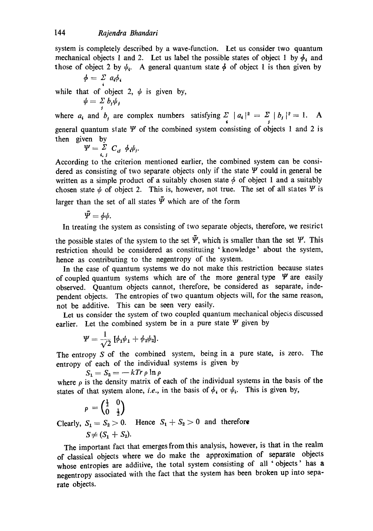system is completely described by a wave-function. Let us consider two quantum mechanical objects 1 and 2. Let us label the possible states of object 1 by  $\phi_i$  and those of object 2 by  $\psi_i$ . A general quantum state  $\phi$  of object 1 is then given by

$$
\phi = \sum_{i} a_i \phi_i
$$
  
while that of object 2,  $\psi$  is given by,  

$$
\psi = \sum b_i \psi_i
$$

*J*  where  $a_i$  and  $b_j$  are complex numbers satisfying  $\sum_{i} |a_i|^2 = \sum_{j} |b_j|^2 = 1$ . A general quantum state  $\Psi$  of the combined system consisting of objects 1 and 2 is then given by

$$
\Psi = \sum_{i,j}^{\tilde{Z}} C_{ij} \phi_i \psi_j.
$$

According to the criterion mentioned earlier, the combined system can be considered as consisting of two separate objects only if the state  $\Psi$  could in general be written as a simple product of a suitably chosen state  $\phi$  of object 1 and a suitably chosen state  $\psi$  of object 2. This is, however, not true. The set of all states  $\Psi$  is larger than the set of all states  $\tilde{\Psi}$  which are of the form

$$
\tilde{\mathbf{\Psi}}=\phi\psi.
$$

In treating the system as consisting of two separate objects, therefore, we restrict

the possible states of the system to the set  $\tilde{\Psi}$ , which is smaller than the set  $\Psi$ . This restriction should be considered as constituting 'knowledge' about the system, hence as contributing to the negentropy of the system.

In the case of quantum systems we do not make this restriction because states of coupled quantum systems which are of the more general type  $\Psi$  are easily observed. Quantum objects cannot, therefore, be considered as separate, independent objects. The entropies of two quantum objects will, for the same reason, not be additive. This can be seen very easily.

Let us consider the system of two coupled quantum mechanical objects discussed earlier. Let the combined system be in a pure state  $\Psi$  given by

$$
\Psi = \frac{1}{\sqrt{2}}\left[\phi_1\psi_1 + \phi_2\psi_2\right].
$$

The entropy S of the combined system, being in a pure state, is zero. The entropy of each of the individual systems is given by

 $S_1 = S_2 = -kTr \rho \ln \rho$ 

where  $\rho$  is the density matrix of each of the individual systems in the basis of the states of that system alone, *i.e.*, in the basis of  $\phi_i$  or  $\psi_i$ . This is given by,

$$
\rho = \begin{pmatrix} \frac{1}{2} & 0 \\ 0 & \frac{1}{2} \end{pmatrix}
$$
  
Clearly,  $S_1 = S_2 > 0$ . Hence  $S_1 + S_2 > 0$  and therefore  
 $S \neq (S_1 + S_2)$ .

The important fact that emerges from this analysis, however, is that in the realm of classical objects where we do make the approximation of separate objects whose entropies are additive, the total system consisting of all ' objects' has a negentropy associated with the fact that the system has been broken up into separate objects.